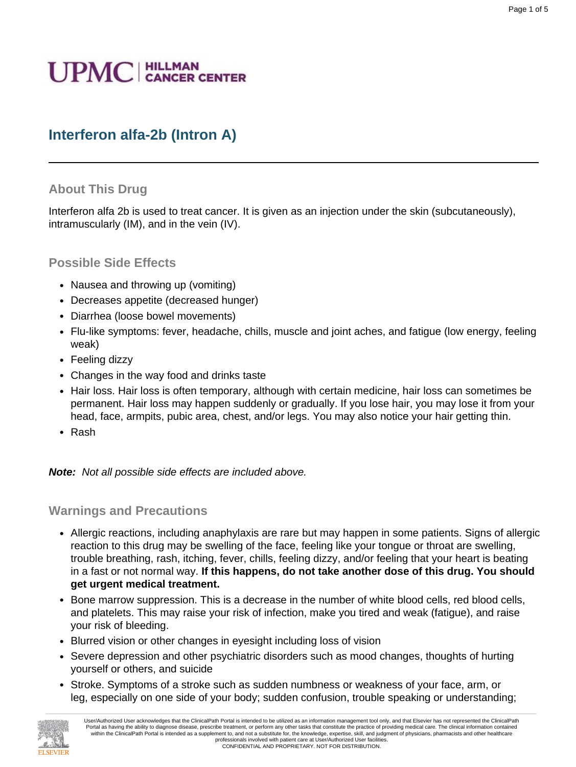# **UPMC** | HILLMAN

# **Interferon alfa-2b (Intron A)**

#### **About This Drug**

Interferon alfa 2b is used to treat cancer. It is given as an injection under the skin (subcutaneously), intramuscularly (IM), and in the vein (IV).

#### **Possible Side Effects**

- Nausea and throwing up (vomiting)
- Decreases appetite (decreased hunger)
- Diarrhea (loose bowel movements)
- Flu-like symptoms: fever, headache, chills, muscle and joint aches, and fatigue (low energy, feeling weak)
- Feeling dizzy
- Changes in the way food and drinks taste
- Hair loss. Hair loss is often temporary, although with certain medicine, hair loss can sometimes be permanent. Hair loss may happen suddenly or gradually. If you lose hair, you may lose it from your head, face, armpits, pubic area, chest, and/or legs. You may also notice your hair getting thin.
- Rash

**Note:** Not all possible side effects are included above.

#### **Warnings and Precautions**

- Allergic reactions, including anaphylaxis are rare but may happen in some patients. Signs of allergic reaction to this drug may be swelling of the face, feeling like your tongue or throat are swelling, trouble breathing, rash, itching, fever, chills, feeling dizzy, and/or feeling that your heart is beating in a fast or not normal way. **If this happens, do not take another dose of this drug. You should get urgent medical treatment.**
- Bone marrow suppression. This is a decrease in the number of white blood cells, red blood cells, and platelets. This may raise your risk of infection, make you tired and weak (fatigue), and raise your risk of bleeding.
- Blurred vision or other changes in eyesight including loss of vision
- Severe depression and other psychiatric disorders such as mood changes, thoughts of hurting yourself or others, and suicide
- Stroke. Symptoms of a stroke such as sudden numbness or weakness of your face, arm, or leg, especially on one side of your body; sudden confusion, trouble speaking or understanding;

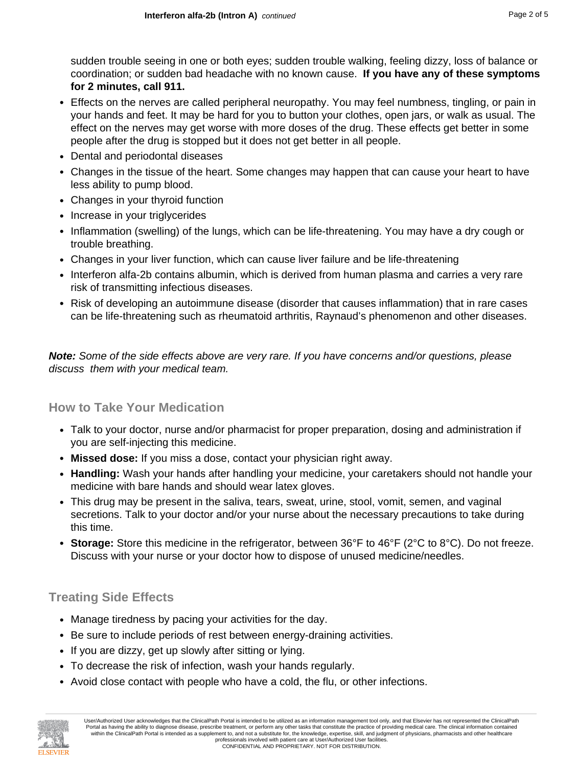sudden trouble seeing in one or both eyes; sudden trouble walking, feeling dizzy, loss of balance or coordination; or sudden bad headache with no known cause. **If you have any of these symptoms for 2 minutes, call 911.**

- Effects on the nerves are called peripheral neuropathy. You may feel numbness, tingling, or pain in your hands and feet. It may be hard for you to button your clothes, open jars, or walk as usual. The effect on the nerves may get worse with more doses of the drug. These effects get better in some people after the drug is stopped but it does not get better in all people.
- Dental and periodontal diseases
- Changes in the tissue of the heart. Some changes may happen that can cause your heart to have less ability to pump blood.
- Changes in your thyroid function
- Increase in your triglycerides
- Inflammation (swelling) of the lungs, which can be life-threatening. You may have a dry cough or trouble breathing.
- Changes in your liver function, which can cause liver failure and be life-threatening
- Interferon alfa-2b contains albumin, which is derived from human plasma and carries a very rare risk of transmitting infectious diseases.
- Risk of developing an autoimmune disease (disorder that causes inflammation) that in rare cases can be life-threatening such as rheumatoid arthritis, Raynaud's phenomenon and other diseases.

**Note:** Some of the side effects above are very rare. If you have concerns and/or questions, please discuss them with your medical team.

#### **How to Take Your Medication**

- Talk to your doctor, nurse and/or pharmacist for proper preparation, dosing and administration if you are self-injecting this medicine.
- **Missed dose:** If you miss a dose, contact your physician right away.
- **Handling:** Wash your hands after handling your medicine, your caretakers should not handle your medicine with bare hands and should wear latex gloves.
- This drug may be present in the saliva, tears, sweat, urine, stool, vomit, semen, and vaginal secretions. Talk to your doctor and/or your nurse about the necessary precautions to take during this time.
- **Storage:** Store this medicine in the refrigerator, between 36°F to 46°F (2°C to 8°C). Do not freeze. Discuss with your nurse or your doctor how to dispose of unused medicine/needles.

## **Treating Side Effects**

- Manage tiredness by pacing your activities for the day.
- Be sure to include periods of rest between energy-draining activities.
- If you are dizzy, get up slowly after sitting or lying.
- To decrease the risk of infection, wash your hands regularly.
- Avoid close contact with people who have a cold, the flu, or other infections.

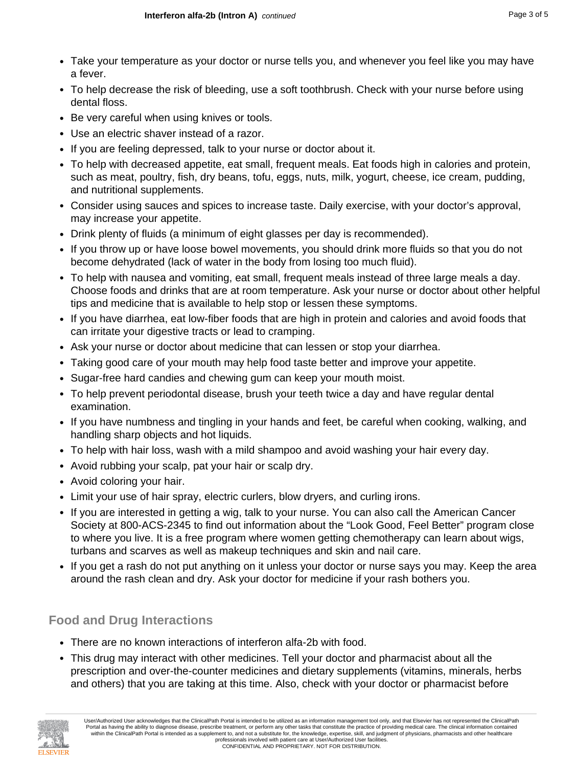- Take your temperature as your doctor or nurse tells you, and whenever you feel like you may have a fever.
- To help decrease the risk of bleeding, use a soft toothbrush. Check with your nurse before using dental floss.
- Be very careful when using knives or tools.
- Use an electric shaver instead of a razor.
- If you are feeling depressed, talk to your nurse or doctor about it.
- To help with decreased appetite, eat small, frequent meals. Eat foods high in calories and protein, such as meat, poultry, fish, dry beans, tofu, eggs, nuts, milk, yogurt, cheese, ice cream, pudding, and nutritional supplements.
- Consider using sauces and spices to increase taste. Daily exercise, with your doctor's approval, may increase your appetite.
- Drink plenty of fluids (a minimum of eight glasses per day is recommended).
- If you throw up or have loose bowel movements, you should drink more fluids so that you do not become dehydrated (lack of water in the body from losing too much fluid).
- To help with nausea and vomiting, eat small, frequent meals instead of three large meals a day. Choose foods and drinks that are at room temperature. Ask your nurse or doctor about other helpful tips and medicine that is available to help stop or lessen these symptoms.
- If you have diarrhea, eat low-fiber foods that are high in protein and calories and avoid foods that can irritate your digestive tracts or lead to cramping.
- Ask your nurse or doctor about medicine that can lessen or stop your diarrhea.
- Taking good care of your mouth may help food taste better and improve your appetite.
- Sugar-free hard candies and chewing gum can keep your mouth moist.
- To help prevent periodontal disease, brush your teeth twice a day and have regular dental examination.
- If you have numbness and tingling in your hands and feet, be careful when cooking, walking, and handling sharp objects and hot liquids.
- To help with hair loss, wash with a mild shampoo and avoid washing your hair every day.
- Avoid rubbing your scalp, pat your hair or scalp dry.
- Avoid coloring your hair.
- Limit your use of hair spray, electric curlers, blow dryers, and curling irons.
- If you are interested in getting a wig, talk to your nurse. You can also call the American Cancer Society at 800-ACS-2345 to find out information about the "Look Good, Feel Better" program close to where you live. It is a free program where women getting chemotherapy can learn about wigs, turbans and scarves as well as makeup techniques and skin and nail care.
- If you get a rash do not put anything on it unless your doctor or nurse says you may. Keep the area around the rash clean and dry. Ask your doctor for medicine if your rash bothers you.

#### **Food and Drug Interactions**

- There are no known interactions of interferon alfa-2b with food.
- This drug may interact with other medicines. Tell your doctor and pharmacist about all the prescription and over-the-counter medicines and dietary supplements (vitamins, minerals, herbs and others) that you are taking at this time. Also, check with your doctor or pharmacist before

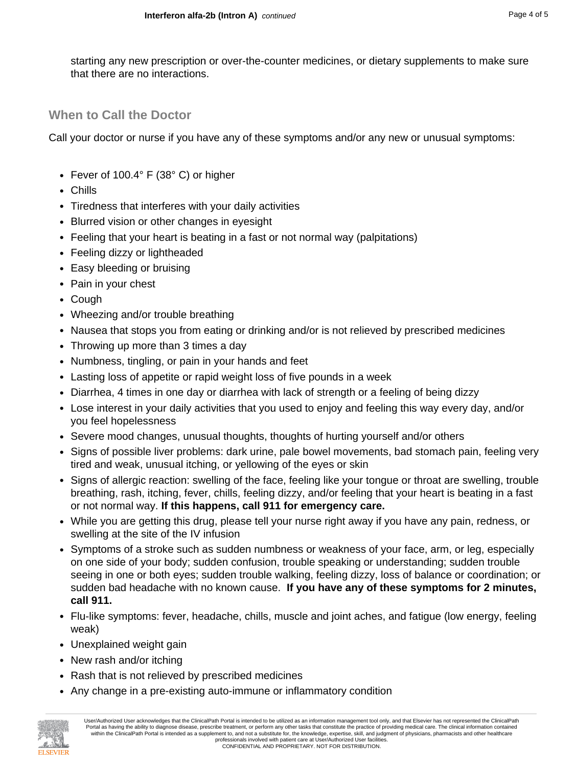starting any new prescription or over-the-counter medicines, or dietary supplements to make sure that there are no interactions.

# **When to Call the Doctor**

Call your doctor or nurse if you have any of these symptoms and/or any new or unusual symptoms:

- Fever of 100.4° F (38° C) or higher
- Chills
- Tiredness that interferes with your daily activities
- Blurred vision or other changes in eyesight
- Feeling that your heart is beating in a fast or not normal way (palpitations)
- Feeling dizzy or lightheaded
- Easy bleeding or bruising
- Pain in your chest
- Cough
- Wheezing and/or trouble breathing
- Nausea that stops you from eating or drinking and/or is not relieved by prescribed medicines
- Throwing up more than 3 times a day
- Numbness, tingling, or pain in your hands and feet
- Lasting loss of appetite or rapid weight loss of five pounds in a week
- Diarrhea, 4 times in one day or diarrhea with lack of strength or a feeling of being dizzy
- Lose interest in your daily activities that you used to enjoy and feeling this way every day, and/or you feel hopelessness
- Severe mood changes, unusual thoughts, thoughts of hurting yourself and/or others
- Signs of possible liver problems: dark urine, pale bowel movements, bad stomach pain, feeling very tired and weak, unusual itching, or yellowing of the eyes or skin
- Signs of allergic reaction: swelling of the face, feeling like your tongue or throat are swelling, trouble breathing, rash, itching, fever, chills, feeling dizzy, and/or feeling that your heart is beating in a fast or not normal way. **If this happens, call 911 for emergency care.**
- While you are getting this drug, please tell your nurse right away if you have any pain, redness, or swelling at the site of the IV infusion
- Symptoms of a stroke such as sudden numbness or weakness of your face, arm, or leg, especially on one side of your body; sudden confusion, trouble speaking or understanding; sudden trouble seeing in one or both eyes; sudden trouble walking, feeling dizzy, loss of balance or coordination; or sudden bad headache with no known cause. **If you have any of these symptoms for 2 minutes, call 911.**
- Flu-like symptoms: fever, headache, chills, muscle and joint aches, and fatigue (low energy, feeling weak)
- Unexplained weight gain
- New rash and/or itching
- Rash that is not relieved by prescribed medicines
- Any change in a pre-existing auto-immune or inflammatory condition



User/Authorized User acknowledges that the ClinicalPath Portal is intended to be utilized as an information management tool only, and that Elsevier has not represented the ClinicalPath Portal as having the ability to diagnose disease, prescribe treatment, or perform any other tasks that constitute the practice of providing medical care. The clinical information contained within the ClinicalPath Portal is intended as a supplement to, and not a substitute for, the knowledge, expertise, skill, and judgment of physicians, pharmacists and other healthcare professionals involved with patient care at User/Authorized User facilities. CONFIDENTIAL AND PROPRIETARY. NOT FOR DISTRIBUTION.